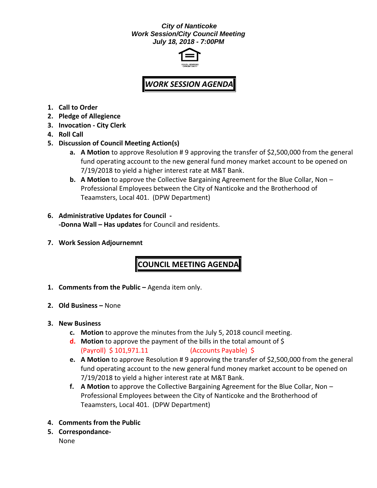## *City of Nanticoke Work Session/City Council Meeting July 18, 2018 - 7:00PM*



## *WORK SESSION AGENDA*

- **1. Call to Order**
- **2. Pledge of Allegience**
- **3. Invocation - City Clerk**
- **4. Roll Call**
- **5. Discussion of Council Meeting Action(s)**
	- **a. A Motion** to approve Resolution # 9 approving the transfer of \$2,500,000 from the general fund operating account to the new general fund money market account to be opened on 7/19/2018 to yield a higher interest rate at M&T Bank.
	- **b. A Motion** to approve the Collective Bargaining Agreement for the Blue Collar, Non Professional Employees between the City of Nanticoke and the Brotherhood of Teaamsters, Local 401. (DPW Department)
- **6. Administrative Updates for Council - -Donna Wall – Has updates** for Council and residents.
- **7. Work Session Adjournemnt**

## **COUNCIL MEETING AGENDA**

- **1. Comments from the Public –** Agenda item only.
- **2. Old Business –** None
- **3. New Business**
	- **c. Motion** to approve the minutes from the July 5, 2018 council meeting.
	- **d. Motion** to approve the payment of the bills in the total amount of \$ (Payroll) \$ 101,971.11 (Accounts Payable) \$
	- **e. A Motion** to approve Resolution # 9 approving the transfer of \$2,500,000 from the general fund operating account to the new general fund money market account to be opened on 7/19/2018 to yield a higher interest rate at M&T Bank.
	- **f. A Motion** to approve the Collective Bargaining Agreement for the Blue Collar, Non Professional Employees between the City of Nanticoke and the Brotherhood of Teaamsters, Local 401. (DPW Department)
- **4. Comments from the Public**
- **5. Correspondance-**

None